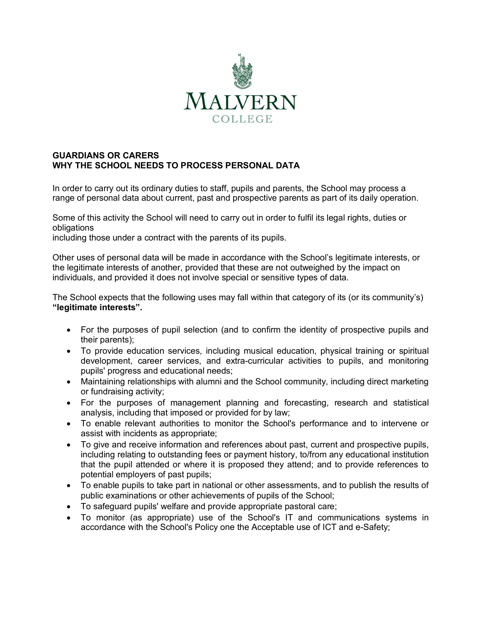

## **GUARDIANS OR CARERS WHY THE SCHOOL NEEDS TO PROCESS PERSONAL DATA**

In order to carry out its ordinary duties to staff, pupils and parents, the School may process a range of personal data about current, past and prospective parents as part of its daily operation.

Some of this activity the School will need to carry out in order to fulfil its legal rights, duties or obligations

including those under a contract with the parents of its pupils.

Other uses of personal data will be made in accordance with the School's legitimate interests, or the legitimate interests of another, provided that these are not outweighed by the impact on individuals, and provided it does not involve special or sensitive types of data.

The School expects that the following uses may fall within that category of its (or its community's) **"legitimate interests".**

- For the purposes of pupil selection (and to confirm the identity of prospective pupils and their parents);
- To provide education services, including musical education, physical training or spiritual development, career services, and extra-curricular activities to pupils, and monitoring pupils' progress and educational needs;
- Maintaining relationships with alumni and the School community, including direct marketing or fundraising activity;
- For the purposes of management planning and forecasting, research and statistical analysis, including that imposed or provided for by law;
- To enable relevant authorities to monitor the School's performance and to intervene or assist with incidents as appropriate;
- To give and receive information and references about past, current and prospective pupils, including relating to outstanding fees or payment history, to/from any educational institution that the pupil attended or where it is proposed they attend; and to provide references to potential employers of past pupils;
- To enable pupils to take part in national or other assessments, and to publish the results of public examinations or other achievements of pupils of the School;
- To safeguard pupils' welfare and provide appropriate pastoral care;
- To monitor (as appropriate) use of the School's IT and communications systems in accordance with the School's Policy one the Acceptable use of ICT and e-Safety;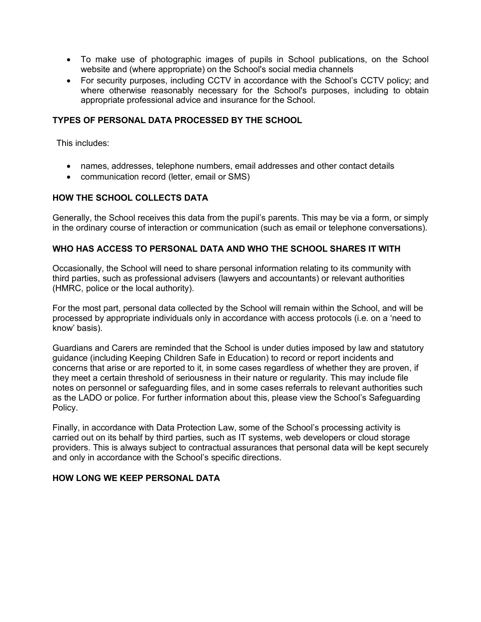- To make use of photographic images of pupils in School publications, on the School website and (where appropriate) on the School's social media channels
- For security purposes, including CCTV in accordance with the School's CCTV policy; and where otherwise reasonably necessary for the School's purposes, including to obtain appropriate professional advice and insurance for the School.

## **TYPES OF PERSONAL DATA PROCESSED BY THE SCHOOL**

This includes:

- names, addresses, telephone numbers, email addresses and other contact details
- communication record (letter, email or SMS)

# **HOW THE SCHOOL COLLECTS DATA**

Generally, the School receives this data from the pupil's parents. This may be via a form, or simply in the ordinary course of interaction or communication (such as email or telephone conversations).

## **WHO HAS ACCESS TO PERSONAL DATA AND WHO THE SCHOOL SHARES IT WITH**

Occasionally, the School will need to share personal information relating to its community with third parties, such as professional advisers (lawyers and accountants) or relevant authorities (HMRC, police or the local authority).

For the most part, personal data collected by the School will remain within the School, and will be processed by appropriate individuals only in accordance with access protocols (i.e. on a 'need to know' basis).

Guardians and Carers are reminded that the School is under duties imposed by law and statutory guidance (including Keeping Children Safe in Education) to record or report incidents and concerns that arise or are reported to it, in some cases regardless of whether they are proven, if they meet a certain threshold of seriousness in their nature or regularity. This may include file notes on personnel or safeguarding files, and in some cases referrals to relevant authorities such as the LADO or police. For further information about this, please view the School's Safeguarding Policy.

Finally, in accordance with Data Protection Law, some of the School's processing activity is carried out on its behalf by third parties, such as IT systems, web developers or cloud storage providers. This is always subject to contractual assurances that personal data will be kept securely and only in accordance with the School's specific directions.

#### **HOW LONG WE KEEP PERSONAL DATA**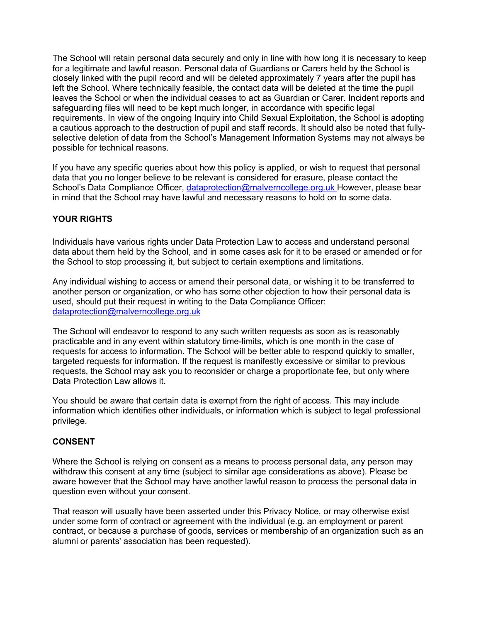The School will retain personal data securely and only in line with how long it is necessary to keep for a legitimate and lawful reason. Personal data of Guardians or Carers held by the School is closely linked with the pupil record and will be deleted approximately 7 years after the pupil has left the School. Where technically feasible, the contact data will be deleted at the time the pupil leaves the School or when the individual ceases to act as Guardian or Carer. Incident reports and safeguarding files will need to be kept much longer, in accordance with specific legal requirements. In view of the ongoing Inquiry into Child Sexual Exploitation, the School is adopting a cautious approach to the destruction of pupil and staff records. It should also be noted that fullyselective deletion of data from the School's Management Information Systems may not always be possible for technical reasons.

If you have any specific queries about how this policy is applied, or wish to request that personal data that you no longer believe to be relevant is considered for erasure, please contact the School's Data Compliance Officer, dataprotection@malverncollege.org.uk However, please bear in mind that the School may have lawful and necessary reasons to hold on to some data.

# **YOUR RIGHTS**

Individuals have various rights under Data Protection Law to access and understand personal data about them held by the School, and in some cases ask for it to be erased or amended or for the School to stop processing it, but subject to certain exemptions and limitations.

Any individual wishing to access or amend their personal data, or wishing it to be transferred to another person or organization, or who has some other objection to how their personal data is used, should put their request in writing to the Data Compliance Officer: dataprotection@malverncollege.org.uk

The School will endeavor to respond to any such written requests as soon as is reasonably practicable and in any event within statutory time-limits, which is one month in the case of requests for access to information. The School will be better able to respond quickly to smaller, targeted requests for information. If the request is manifestly excessive or similar to previous requests, the School may ask you to reconsider or charge a proportionate fee, but only where Data Protection Law allows it.

You should be aware that certain data is exempt from the right of access. This may include information which identifies other individuals, or information which is subject to legal professional privilege.

# **CONSENT**

Where the School is relying on consent as a means to process personal data, any person may withdraw this consent at any time (subject to similar age considerations as above). Please be aware however that the School may have another lawful reason to process the personal data in question even without your consent.

That reason will usually have been asserted under this Privacy Notice, or may otherwise exist under some form of contract or agreement with the individual (e.g. an employment or parent contract, or because a purchase of goods, services or membership of an organization such as an alumni or parents' association has been requested).